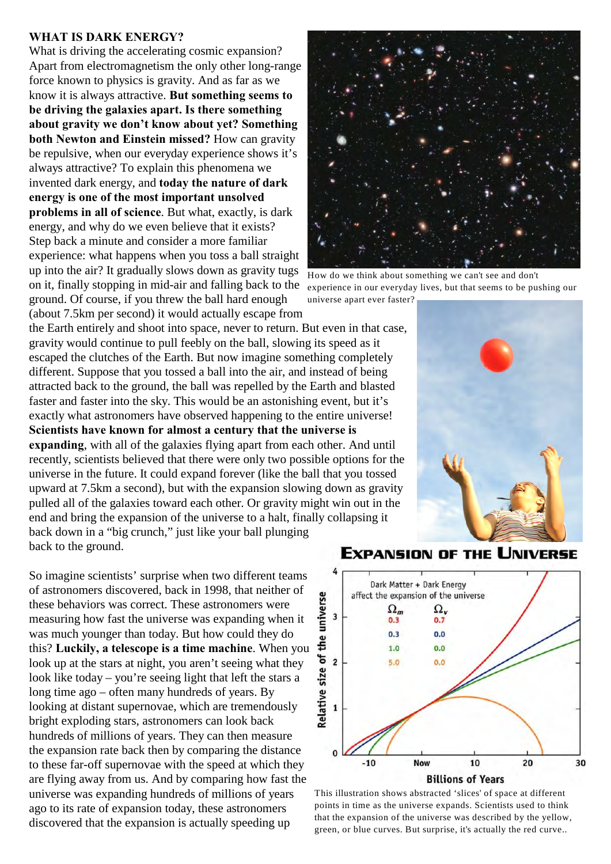## **WHAT IS DARK ENERGY?**

What is driving the accelerating cosmic expansion? Apart from electromagnetism the only other long-range force known to physics is gravity. And as far as we know it is always attractive. **But something seems to be driving the galaxies apart. Is there something about gravity we don't know about yet? Something both Newton and Einstein missed?** How can gravity be repulsive, when our everyday experience shows it's always attractive? To explain this phenomena we invented dark energy, and **today the nature of dark energy is one of the most important unsolved problems in all of science**. But what, exactly, is dark energy, and why do we even believe that it exists? Step back a minute and consider a more familiar experience: what happens when you toss a ball straight up into the air? It gradually slows down as gravity tugs on it, finally stopping in mid-air and falling back to the ground. Of course, if you threw the ball hard enough (about 7.5km per second) it would actually escape from



How do we think about something we can't see and don't experience in our everyday lives, but that seems to be pushing our universe apart ever faster?

the Earth entirely and shoot into space, never to return. But even in that case, gravity would continue to pull feebly on the ball, slowing its speed as it escaped the clutches of the Earth. But now imagine something completely different. Suppose that you tossed a ball into the air, and instead of being attracted back to the ground, the ball was repelled by the Earth and blasted faster and faster into the sky. This would be an astonishing event, but it's exactly what astronomers have observed happening to the entire universe! **Scientists have known for almost a century that the universe is expanding**, with all of the galaxies flying apart from each other. And until recently, scientists believed that there were only two possible options for the universe in the future. It could expand forever (like the ball that you tossed upward at 7.5km a second), but with the expansion slowing down as gravity pulled all of the galaxies toward each other. Or gravity might win out in the end and bring the expansion of the universe to a halt, finally collapsing it back down in a "big crunch," just like your ball plunging back to the ground.

So imagine scientists' surprise when two different teams of astronomers discovered, back in 1998, that neither of these behaviors was correct. These astronomers were measuring how fast the universe was expanding when it was much younger than today. But how could they do this? **Luckily, a telescope is a time machine**. When you look up at the stars at night, you aren't seeing what they look like today – you're seeing light that left the stars a long time ago – often many hundreds of years. By looking at distant supernovae, which are tremendously bright exploding stars, astronomers can look back hundreds of millions of years. They can then measure the expansion rate back then by comparing the distance to these far-off supernovae with the speed at which they are flying away from us. And by comparing how fast the universe was expanding hundreds of millions of years ago to its rate of expansion today, these astronomers discovered that the expansion is actually speeding up





This illustration shows abstracted 'slices' of space at different points in time as the universe expands. Scientists used to think that the expansion of the universe was described by the yellow, green, or blue curves. But surprise, it's actually the red curve..

## **EXPANSION OF THE UNIVERSE**